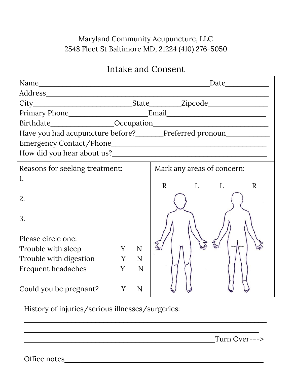## Maryland Community Acupuncture, LLC 2548 Fleet St Baltimore MD, 21224 (410) 276-5050

# Intake and Consent

| Name<br><u> 1989 - Jan Barnett, fransk politiker (d. 1989)</u>                   |   |     | Date                       |  |
|----------------------------------------------------------------------------------|---|-----|----------------------------|--|
|                                                                                  |   |     |                            |  |
|                                                                                  |   |     |                            |  |
|                                                                                  |   |     |                            |  |
|                                                                                  |   |     |                            |  |
| Have you had acupuncture before?_______Preferred pronoun________________________ |   |     |                            |  |
|                                                                                  |   |     |                            |  |
|                                                                                  |   |     |                            |  |
| Reasons for seeking treatment:                                                   |   |     | Mark any areas of concern: |  |
| 1.                                                                               |   |     |                            |  |
|                                                                                  |   |     | R L L<br>R                 |  |
| 2.                                                                               |   |     |                            |  |
|                                                                                  |   |     |                            |  |
| 3.                                                                               |   |     |                            |  |
|                                                                                  |   |     |                            |  |
| Please circle one:                                                               |   |     |                            |  |
| Trouble with sleep                                                               | Y | N   |                            |  |
| Trouble with digestion Y N                                                       |   |     |                            |  |
| <b>Frequent headaches</b>                                                        |   | Y N |                            |  |
|                                                                                  |   |     |                            |  |
| Could you be pregnant?                                                           | Y | N   |                            |  |

\_\_\_\_\_\_\_\_\_\_\_\_\_\_\_\_\_\_\_\_\_\_\_\_\_\_\_\_\_\_\_\_\_\_\_\_\_\_\_\_\_\_\_\_\_\_\_\_\_\_\_\_\_\_\_\_\_\_\_\_\_

\_\_\_\_\_\_\_\_\_\_\_\_\_\_\_\_\_\_\_\_\_\_\_\_\_\_\_\_\_\_\_\_\_\_\_\_\_\_\_\_\_\_\_\_\_\_\_\_\_\_\_\_\_\_\_\_\_\_\_

History of injuries/serious illnesses/surgeries:

\_\_\_\_\_\_\_\_\_\_\_\_\_\_\_\_\_\_\_\_\_\_\_\_\_\_\_\_\_\_\_\_\_\_\_\_\_\_\_\_\_\_\_\_\_\_\_\_Turn Over--->